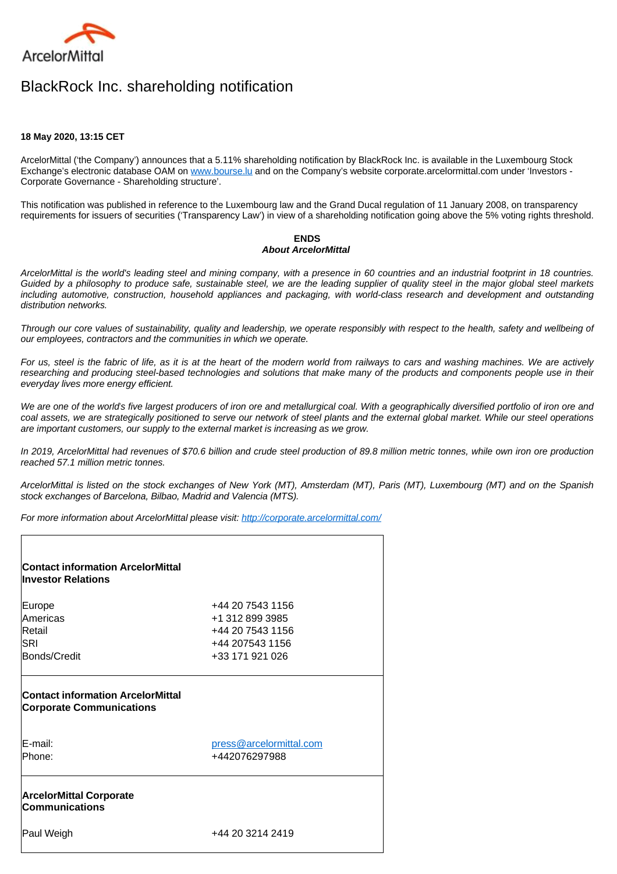

## BlackRock Inc. shareholding notification

## **18 May 2020, 13:15 CET**

ArcelorMittal ('the Company') announces that a 5.11% shareholding notification by BlackRock Inc. is available in the Luxembourg Stock Exchange's electronic database OAM on [www.bourse.lu](http://www.bourse.lu/) and on the Company's website corporate.arcelormittal.com under 'Investors -Corporate Governance - Shareholding structure'.

This notification was published in reference to the Luxembourg law and the Grand Ducal regulation of 11 January 2008, on transparency requirements for issuers of securities ('Transparency Law') in view of a shareholding notification going above the 5% voting rights threshold.

## **ENDS About ArcelorMittal**

ArcelorMittal is the world's leading steel and mining company, with a presence in 60 countries and an industrial footprint in 18 countries. Guided by a philosophy to produce safe, sustainable steel, we are the leading supplier of quality steel in the major global steel markets including automotive, construction, household appliances and packaging, with world-class research and development and outstanding distribution networks.

Through our core values of sustainability, quality and leadership, we operate responsibly with respect to the health, safety and wellbeing of our employees, contractors and the communities in which we operate.

For us, steel is the fabric of life, as it is at the heart of the modern world from railways to cars and washing machines. We are actively researching and producing steel-based technologies and solutions that make many of the products and components people use in their everyday lives more energy efficient.

We are one of the world's five largest producers of iron ore and metallurgical coal. With a geographically diversified portfolio of iron ore and coal assets, we are strategically positioned to serve our network of steel plants and the external global market. While our steel operations are important customers, our supply to the external market is increasing as we grow.

In 2019, ArcelorMittal had revenues of \$70.6 billion and crude steel production of 89.8 million metric tonnes, while own iron ore production reached 57.1 million metric tonnes.

ArcelorMittal is listed on the stock exchanges of New York (MT), Amsterdam (MT), Paris (MT), Luxembourg (MT) and on the Spanish stock exchanges of Barcelona, Bilbao, Madrid and Valencia (MTS).

For more information about ArcelorMittal please visit:<http://corporate.arcelormittal.com/>

| <b>Contact information ArcelorMittal</b><br><b>Investor Relations</b> |                                          |
|-----------------------------------------------------------------------|------------------------------------------|
| Europe                                                                | +44 20 7543 1156                         |
| Americas                                                              | +1 312 899 3985                          |
| Retail                                                                | +44 20 7543 1156                         |
| ISRI                                                                  | +44 207543 1156                          |
| Bonds/Credit                                                          | +33 171 921 026                          |
| <b>Corporate Communications</b><br>lE-mail:<br>lPhone:                | press@arcelormittal.com<br>+442076297988 |
| <b>ArcelorMittal Corporate</b><br><b>Communications</b>               |                                          |
| Paul Weigh                                                            | +44 20 3214 2419                         |